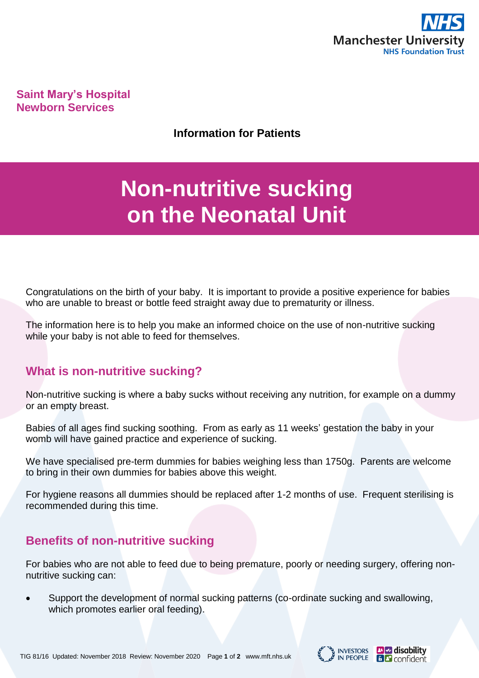

**Saint Mary's Hospital Newborn Services**

**Information for Patients**

# **Non-nutritive sucking on the Neonatal Unit**

Congratulations on the birth of your baby. It is important to provide a positive experience for babies who are unable to breast or bottle feed straight away due to prematurity or illness.

The information here is to help you make an informed choice on the use of non-nutritive sucking while your baby is not able to feed for themselves.

#### **What is non-nutritive sucking?**

Non-nutritive sucking is where a baby sucks without receiving any nutrition, for example on a dummy or an empty breast.

Babies of all ages find sucking soothing. From as early as 11 weeks' gestation the baby in your womb will have gained practice and experience of sucking.

We have specialised pre-term dummies for babies weighing less than 1750g. Parents are welcome to bring in their own dummies for babies above this weight.

For hygiene reasons all dummies should be replaced after 1-2 months of use. Frequent sterilising is recommended during this time.

### **Benefits of non-nutritive sucking**

For babies who are not able to feed due to being premature, poorly or needing surgery, offering nonnutritive sucking can:

 Support the development of normal sucking patterns (co-ordinate sucking and swallowing, which promotes earlier oral feeding).